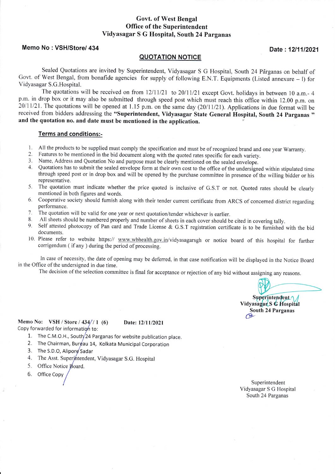## Govt. of West Bengal Office of the Superintendent Vidyasagar S G Hospital, South 24Parganas

## Memo No : VSH/Store/ 434 **Date: 12/11/2021**

### QUOTATION NOTIGE

Sealed Quotations are invited by Superintendent, Vidyasagar S G Hospital, South 24 Parganas on behalf of Govt. of West Bengal, from bonafide agencies for supply of following E.N.T. Equipments (Listed annexure - l) for \,' id)'asagar S.G.Hospital.

The quotations will be received on from  $12/11/21$  to  $20/11/21$  except Govt. holidays in between 10 a.m.- 4 p.m. in drop box or it may also be submitted through speed post which must reach this office within 12.00 p.m. on  $20/11/21$ . The quotations will be opened at 1.15 p.m. on the same day (20/11/21). Applications in due format will be received from bidders addressing the "Superintendent, Vidyasagar State General Hospital, South 24 Parganas " and the quotation no. and date must be mentioned in the application

#### Terms and conditions:-

- 
- 
- 
- 1. All the products to be supplied must comply the specification and must be of recognized brand and one year Warranty.<br>
2. Features to be mentioned in the bid document along with the quoted rates specific for each variety through speed post or in drop box and will be opened by the purchase committee in presence of the willing bidder or his representative.
- 5. The quotation must indicate whether the price quoted is inclusive of G.S.T or not. Quoted rates should be clearly mentioned in both figures and words.
- 6. Cooperative society should furnish along with their tender current certificate from ARCS of concerned district regarding performance.
- The quotation will be valid for one year or next quotation/tender whichever is earlier. 7.
- All sheets should be numbered properly and number of sheets in each cover should be cited in covering tally. 8.
- Self attested photocopy of Pan card and Trade License & G.S.T registration certificate is to be furnished with the bid documents. 9.
- 10. Please refer to website https:// www.wbhealth.gov.in/vidyasagarsgh or notice board of this hospital for further corrigendum ( if any ) during the period of processing.

In case of necessity, the date of opening may be deferred, in that case notification will be displayed in the Notice Board in the Office of the undersigned in due time.

The decision of the selection committee is final for acceptance or rejection of any bid without assigning any reasons.

Superintendent 1 Vidyasagar S G Hospital South 24 Parganas  $\infty$ 

Memo No: VSH / Store / 434// 1 (6) Date: 12/11/2021 Copy forwarded for information to:

- 1. The C.M.O.H., South $/24$  Parganas for website publication place.
- 2. The Chairman, Burgau 14, Kolkata Municipal Corporation
- 3. The S.D.O, Alipore Sadar
- 4. The Asst. Superintendent, Vidyasagar S.G. Hospital
- 5. Office Notice Board.
- 6. Office Copy /

with the superintendent of  $\sim$  Superintendent of  $\sim$ Vidyasagar S G Hospitai South 24 Parganas